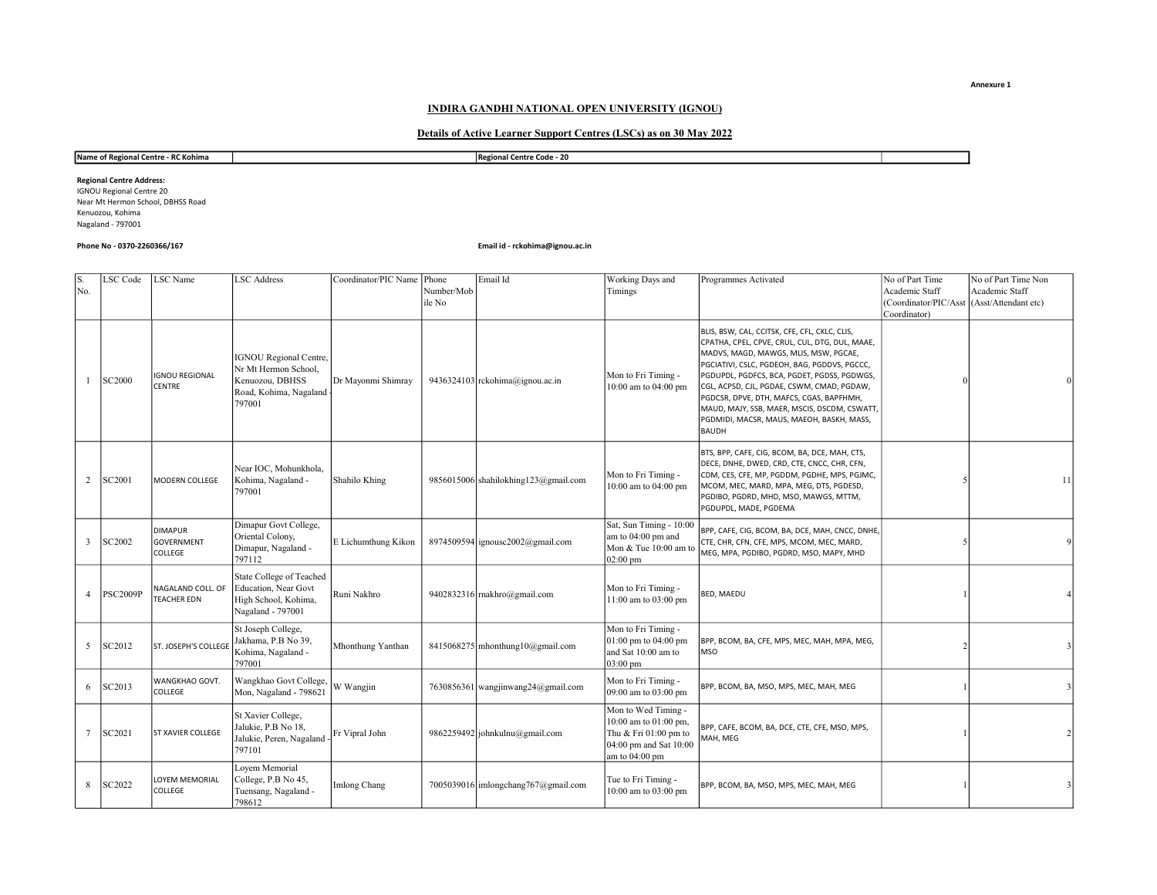Annexure 1

## INDIRA GANDHI NATIONAL OPEN UNIVERSITY (IGNOU)

# Details of Active Learner Support Centres (LSCs) as on 30 May 2022

## Name of Regional Centre - RC Kohima Regional Centre Code - 20

IGNOU Regional Centre 20 Near Mt Hermon School, DBHSS Road Kenuozou, Kohima Nagaland - 797001 Regional Centre Address:

## Phone No - 0370-2260366/167 Email id - rckohima@ignou.ac.in

| S.<br>No.      | LSC Code        | <b>LSC</b> Name                         | <b>LSC Address</b>                                                                                           | Coordinator/PIC Name Phone | Number/Mob<br>ile No | Email Id                                   | Working Days and<br>Timings                                                                                       | Programmes Activated                                                                                                                                                                                                                                                                                                                                                                                                                           | No of Part Time<br>Academic Staff<br>(Coordinator/PIC/Asst<br>Coordinator) | No of Part Time Non<br>Academic Staff<br>(Asst/Attendant etc) |  |
|----------------|-----------------|-----------------------------------------|--------------------------------------------------------------------------------------------------------------|----------------------------|----------------------|--------------------------------------------|-------------------------------------------------------------------------------------------------------------------|------------------------------------------------------------------------------------------------------------------------------------------------------------------------------------------------------------------------------------------------------------------------------------------------------------------------------------------------------------------------------------------------------------------------------------------------|----------------------------------------------------------------------------|---------------------------------------------------------------|--|
|                | SC2000          | <b>IGNOU REGIONAL</b><br>CENTRE         | <b>IGNOU Regional Centre,</b><br>Nr Mt Hermon School,<br>Kenuozou, DBHSS<br>Road, Kohima, Nagaland<br>797001 | Dr Mayonmi Shimray         |                      | 9436324103 $rckohima(\vec{a})$ ignou.ac.in | Mon to Fri Timing -<br>10:00 am to 04:00 pm                                                                       | BLIS, BSW, CAL, CCITSK, CFE, CFL, CKLC, CLIS,<br>CPATHA, CPEL, CPVE, CRUL, CUL, DTG, DUL, MAAE,<br>MADVS, MAGD, MAWGS, MLIS, MSW, PGCAE,<br>PGCIATIVI, CSLC, PGDEOH, BAG, PGDDVS, PGCCC,<br>PGDUPDL, PGDFCS, BCA, PGDET, PGDSS, PGDWGS,<br>CGL, ACPSD, CJL, PGDAE, CSWM, CMAD, PGDAW,<br>PGDCSR, DPVE, DTH, MAFCS, CGAS, BAPFHMH,<br>MAUD, MAJY, SSB, MAER, MSCIS, DSCDM, CSWATT,<br>PGDMIDI, MACSR, MAUS, MAEOH, BASKH, MASS,<br><b>BAUDH</b> |                                                                            | $\overline{0}$                                                |  |
| 2              | SC2001          | MODERN COLLEGE                          | Near IOC, Mohunkhola,<br>Kohima, Nagaland -<br>797001                                                        | Shahilo Khing              |                      | 9856015006 shahilokhing123@gmail.com       | Mon to Fri Timing -<br>10:00 am to 04:00 pm                                                                       | BTS, BPP, CAFE, CIG, BCOM, BA, DCE, MAH, CTS,<br>DECE, DNHE, DWED, CRD, CTE, CNCC, CHR, CFN,<br>CDM, CES, CFE, MP, PGDDM, PGDHE, MPS, PGJMC,<br>MCOM, MEC, MARD, MPA, MEG, DTS, PGDESD,<br>PGDIBO, PGDRD, MHD, MSO, MAWGS, MTTM,<br>PGDUPDL, MADE, PGDEMA                                                                                                                                                                                      |                                                                            | 11                                                            |  |
| 3              | SC2002          | <b>DIMAPUR</b><br>GOVERNMENT<br>COLLEGE | Dimapur Govt College,<br>Oriental Colony,<br>Dimapur, Nagaland -<br>797112                                   | E Lichumthung Kikon        |                      | 8974509594 ignousc2002@gmail.com           | Sat, Sun Timing - 10:00<br>am to 04:00 pm and<br>Mon & Tue 10:00 am to<br>$02:00 \text{ pm}$                      | BPP, CAFE, CIG, BCOM, BA, DCE, MAH, CNCC, DNHE,<br>CTE, CHR, CFN, CFE, MPS, MCOM, MEC, MARD,<br>MEG, MPA, PGDIBO, PGDRD, MSO, MAPY, MHD                                                                                                                                                                                                                                                                                                        |                                                                            | 9                                                             |  |
| $\overline{4}$ | <b>PSC2009P</b> | NAGALAND COLL. OF<br><b>TEACHER EDN</b> | State College of Teached<br>Education, Near Govt<br>High School, Kohima,<br>Nagaland - 797001                | Runi Nakhro                |                      | 9402832316 makhro@gmail.com                | Mon to Fri Timing -<br>11:00 am to 03:00 pm                                                                       | BED, MAEDU                                                                                                                                                                                                                                                                                                                                                                                                                                     |                                                                            |                                                               |  |
| 5              | SC2012          | <b>ST. JOSEPH'S COLLEGE</b>             | St Joseph College,<br>Jakhama, P.B No 39,<br>Kohima, Nagaland -<br>797001                                    | Mhonthung Yanthan          |                      | 8415068275 mhonthung $10$ (a) gmail.com    | Mon to Fri Timing -<br>01:00 pm to 04:00 pm<br>and Sat 10:00 am to<br>$03:00 \text{ pm}$                          | BPP, BCOM, BA, CFE, MPS, MEC, MAH, MPA, MEG,<br><b>MSO</b>                                                                                                                                                                                                                                                                                                                                                                                     |                                                                            | $\overline{\mathbf{3}}$                                       |  |
| 6              | SC2013          | WANGKHAO GOVT.<br>COLLEGE               | Wangkhao Govt College,<br>Mon, Nagaland - 798621                                                             | W Wangjin                  |                      | 7630856361 wangjinwang24@gmail.com         | Mon to Fri Timing -<br>09:00 am to 03:00 pm                                                                       | BPP, BCOM, BA, MSO, MPS, MEC, MAH, MEG                                                                                                                                                                                                                                                                                                                                                                                                         |                                                                            | $\overline{\mathbf{3}}$                                       |  |
| $\overline{7}$ | SC2021          | ST XAVIER COLLEGE                       | St Xavier College,<br>Jalukie, P.B No 18,<br>Jalukie, Peren, Nagaland<br>797101                              | Fr Vipral John             |                      | 9862259492 johnkulnu@gmail.com             | Mon to Wed Timing -<br>10:00 am to 01:00 pm,<br>Thu & Fri 01:00 pm to<br>04:00 pm and Sat 10:00<br>am to 04:00 pm | BPP, CAFE, BCOM, BA, DCE, CTE, CFE, MSO, MPS,<br>MAH, MEG                                                                                                                                                                                                                                                                                                                                                                                      |                                                                            | $\overline{2}$                                                |  |
| 8              | <b>SC2022</b>   | LOYEM MEMORIAL<br>COLLEGE               | Loyem Memorial<br>College, P.B No 45,<br>Tuensang, Nagaland -<br>798612                                      | <b>Imlong Chang</b>        |                      | 7005039016 imlongchang767@gmail.com        | Tue to Fri Timing -<br>10:00 am to 03:00 pm                                                                       | BPP, BCOM, BA, MSO, MPS, MEC, MAH, MEG                                                                                                                                                                                                                                                                                                                                                                                                         |                                                                            | 3                                                             |  |